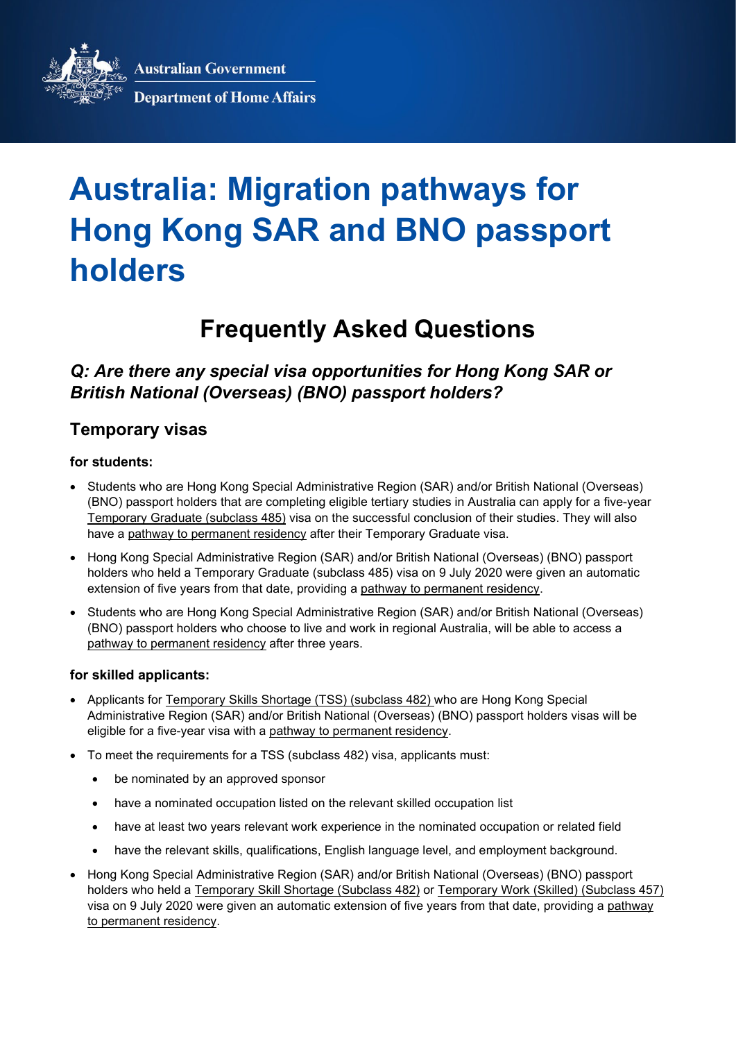**Australian Government** 



**Department of Home Affairs** 

# **Australia: Migration pathways for Hong Kong SAR and BNO passport holders**

## **Frequently Asked Questions**

## *Q: Are there any special visa opportunities for Hong Kong SAR or British National (Overseas) (BNO) passport holders?*

### **Temporary visas**

#### **for students:**

- Students who are Hong Kong Special Administrative Region (SAR) and/or British National (Overseas) (BNO) passport holders that are completing eligible tertiary studies in Australia can apply for a five-year [Temporary Graduate \(subclass](https://immi.homeaffairs.gov.au/visas/getting-a-visa/visa-listing/temporary-graduate-485) 485) visa on the successful conclusion of their studies. They will also have a [pathway to permanent residency](#page-1-0) after their Temporary Graduate visa.
- Hong Kong Special Administrative Region (SAR) and/or British National (Overseas) (BNO) passport holders who held a Temporary Graduate (subclass 485) visa on 9 July 2020 were given an automatic extension of five years from that date, providing a [pathway to permanent residency.](#page-1-0)
- Students who are Hong Kong Special Administrative Region (SAR) and/or British National (Overseas) (BNO) passport holders who choose to live and work in regional Australia, will be able to access a [pathway to permanent residency](#page-1-0) after three years.

#### **for skilled applicants:**

- Applicants for [Temporary Skills Shortage \(TSS\) \(subclass 482\)](https://immi.homeaffairs.gov.au/visas/getting-a-visa/visa-listing/temporary-skill-shortage-482) who are Hong Kong Special Administrative Region (SAR) and/or British National (Overseas) (BNO) passport holders visas will be eligible for a five-year visa with a [pathway to permanent residency.](#page-1-0)
- To meet the requirements for a TSS (subclass 482) visa, applicants must:
	- be nominated by an approved sponsor
	- have a nominated occupation listed on the [relevant skilled occupation list](about:blank)
	- have at least two years relevant work experience in the nominated occupation or related field
	- have the relevant skills, qualifications, English language level, and employment background.
- Hong Kong Special Administrative Region (SAR) and/or British National (Overseas) (BNO) passport holders who held a [Temporary Skill Shortage \(Subclass 482\)](https://immi.homeaffairs.gov.au/visas/getting-a-visa/visa-listing/temporary-skill-shortage-482) or [Temporary Work \(Skilled\) \(Subclass 457\)](https://immi.homeaffairs.gov.au/visas/getting-a-visa/visa-listing/repealed-visas/temporary-work-skilled-457) visa on 9 July 2020 were given an automatic extension of five years from that date, providing a [pathway](#page-1-0)  [to permanent residency.](#page-1-0)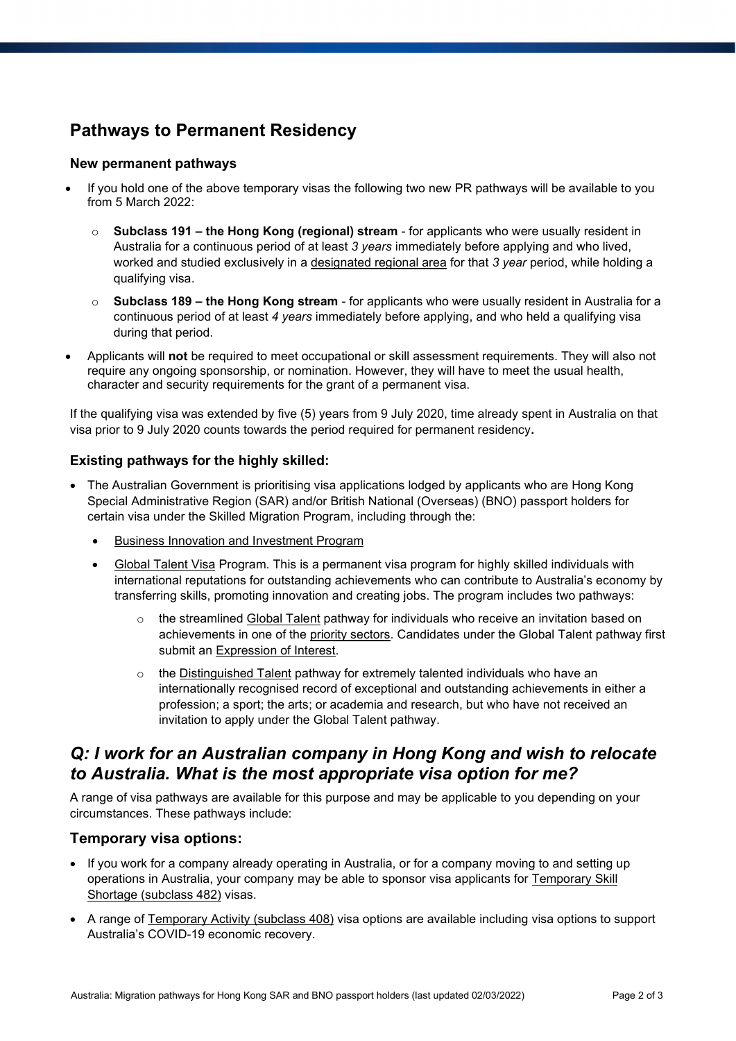## <span id="page-1-0"></span>**Pathways to Permanent Residency**

#### **New permanent pathways**

- If you hold one of the above temporary visas the following two new PR pathways will be available to you from 5 March 2022:
	- o **Subclass 191 – the Hong Kong (regional) stream** for applicants who were usually resident in Australia for a continuous period of at least *3 years* immediately before applying and who lived, worked and studied exclusively in a [designated regional area](https://immi.homeaffairs.gov.au/visas/working-in-australia/regional-migration/eligible-regional-areas) for that *3 year* period, while holding a qualifying visa.
	- **Subclass 189 the Hong Kong stream** for applicants who were usually resident in Australia for a continuous period of at least *4 years* immediately before applying, and who held a qualifying visa during that period.
- Applicants will **not** be required to meet occupational or skill assessment requirements. They will also not require any ongoing sponsorship, or nomination. However, they will have to meet the usual health, character and security requirements for the grant of a permanent visa.

If the qualifying visa was extended by five (5) years from 9 July 2020, time already spent in Australia on that visa prior to 9 July 2020 counts towards the period required for permanent residency**.**

#### **Existing pathways for the highly skilled:**

- The Australian Government is prioritising visa applications lodged by applicants who are Hong Kong Special Administrative Region (SAR) and/or British National (Overseas) (BNO) passport holders for certain visa under the Skilled Migration Program, including through the:
	- [Business Innovation and Investment Program](https://immi.homeaffairs.gov.au/visas/getting-a-visa/visa-listing/business-innovation-and-investment-188)
	- [Global Talent Visa](https://immi.homeaffairs.gov.au/visas/getting-a-visa/visa-listing/global-talent-visa-858) Program. This is a permanent visa program for highly skilled individuals with international reputations for outstanding achievements who can contribute to Australia's economy by transferring skills, promoting innovation and creating jobs. The program includes two pathways:
		- o the streamlined [Global Talent](https://immi.homeaffairs.gov.au/visas/working-in-australia/visas-for-innovation/global-talent-independent-program) pathway for individuals who receive an invitation based on achievements in one of the [priority sectors.](https://immi.homeaffairs.gov.au/visas/working-in-australia/visas-for-innovation/global-talent-independent-program/eligibility) Candidates under the Global Talent pathway first submit an [Expression of Interest.](https://immi.homeaffairs.gov.au/visas/working-in-australia/visas-for-innovation/global-talent-independent-program/how-to-apply)
		- $\circ$  the [Distinguished Talent](https://immi.homeaffairs.gov.au/visas/getting-a-visa/visa-listing/distinguished-talent-124) pathway for extremely talented individuals who have an internationally recognised record of exceptional and outstanding achievements in either a profession; a sport; the arts; or academia and research, but who have not received an invitation to apply under the Global Talent pathway.

## *Q: I work for an Australian company in Hong Kong and wish to relocate to Australia. What is the most appropriate visa option for me?*

A range of visa pathways are available for this purpose and may be applicable to you depending on your circumstances. These pathways include:

#### **Temporary visa options:**

- If you work for a company already operating in Australia, or for a company moving to and setting up operations in Australia, your company may be able to sponsor visa applicants for [Temporary Skill](https://immi.homeaffairs.gov.au/visas/getting-a-visa/visa-listing/temporary-skill-shortage-482)  Shortage [\(subclass 482\)](https://immi.homeaffairs.gov.au/visas/getting-a-visa/visa-listing/temporary-skill-shortage-482) visas.
- A range of [Temporary Activity](https://immi.homeaffairs.gov.au/visas/getting-a-visa/visa-listing/temporary-activity-408) (subclass 408) visa options are available including visa options to support Australia's COVID-19 economic recovery.